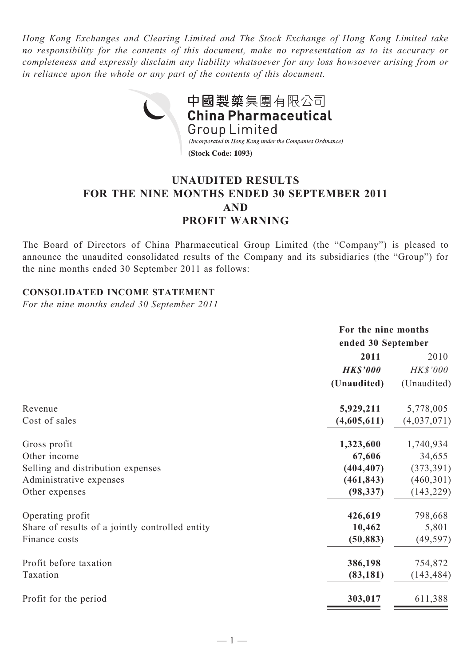*Hong Kong Exchanges and Clearing Limited and The Stock Exchange of Hong Kong Limited take no responsibility for the contents of this document, make no representation as to its accuracy or completeness and expressly disclaim any liability whatsoever for any loss howsoever arising from or in reliance upon the whole or any part of the contents of this document.*



# **UNAUDITED RESULTS FOR THE NINE MONTHS ENDED 30 SEPTEMBER 2011 AND PROFIT WARNING**

The Board of Directors of China Pharmaceutical Group Limited (the "Company") is pleased to announce the unaudited consolidated results of the Company and its subsidiaries (the "Group") for the nine months ended 30 September 2011 as follows:

#### **CONSOLIDATED INCOME STATEMENT**

*For the nine months ended 30 September 2011*

|                                                           | For the nine months |  |  |
|-----------------------------------------------------------|---------------------|--|--|
|                                                           | ended 30 September  |  |  |
| 2011                                                      | 2010                |  |  |
| <b>HK\$'000</b>                                           | HK\$'000            |  |  |
| (Unaudited)                                               | (Unaudited)         |  |  |
| 5,929,211<br>Revenue                                      | 5,778,005           |  |  |
| (4,605,611)<br>Cost of sales                              | (4,037,071)         |  |  |
| 1,323,600<br>Gross profit                                 | 1,740,934           |  |  |
| Other income<br>67,606                                    | 34,655              |  |  |
| (404, 407)<br>Selling and distribution expenses           | (373, 391)          |  |  |
| (461, 843)<br>Administrative expenses                     | (460, 301)          |  |  |
| (98, 337)<br>Other expenses                               | (143, 229)          |  |  |
| Operating profit<br>426,619                               | 798,668             |  |  |
| Share of results of a jointly controlled entity<br>10,462 | 5,801               |  |  |
| Finance costs<br>(50, 883)                                | (49, 597)           |  |  |
| Profit before taxation<br>386,198                         | 754,872             |  |  |
| Taxation<br>(83, 181)                                     | (143, 484)          |  |  |
| Profit for the period<br>303,017                          | 611,388             |  |  |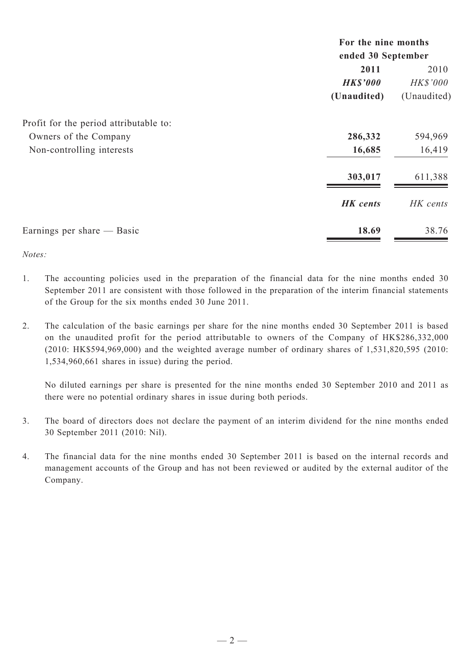|                                        | For the nine months<br>ended 30 September |                 |  |
|----------------------------------------|-------------------------------------------|-----------------|--|
|                                        |                                           |                 |  |
|                                        | 2011                                      | 2010            |  |
|                                        | <b>HK\$'000</b>                           | <b>HK\$'000</b> |  |
|                                        | (Unaudited)                               | (Unaudited)     |  |
| Profit for the period attributable to: |                                           |                 |  |
| Owners of the Company                  | 286,332                                   | 594,969         |  |
| Non-controlling interests              | 16,685                                    | 16,419          |  |
|                                        | 303,017                                   | 611,388         |  |
|                                        | <b>HK</b> cents                           | HK cents        |  |
| Earnings per share — Basic             | 18.69                                     | 38.76           |  |

*Notes:*

- 1. The accounting policies used in the preparation of the financial data for the nine months ended 30 September 2011 are consistent with those followed in the preparation of the interim financial statements of the Group for the six months ended 30 June 2011.
- 2. The calculation of the basic earnings per share for the nine months ended 30 September 2011 is based on the unaudited profit for the period attributable to owners of the Company of HK\$286,332,000 (2010: HK\$594,969,000) and the weighted average number of ordinary shares of 1,531,820,595 (2010: 1,534,960,661 shares in issue) during the period.

No diluted earnings per share is presented for the nine months ended 30 September 2010 and 2011 as there were no potential ordinary shares in issue during both periods.

- 3. The board of directors does not declare the payment of an interim dividend for the nine months ended 30 September 2011 (2010: Nil).
- 4. The financial data for the nine months ended 30 September 2011 is based on the internal records and management accounts of the Group and has not been reviewed or audited by the external auditor of the Company.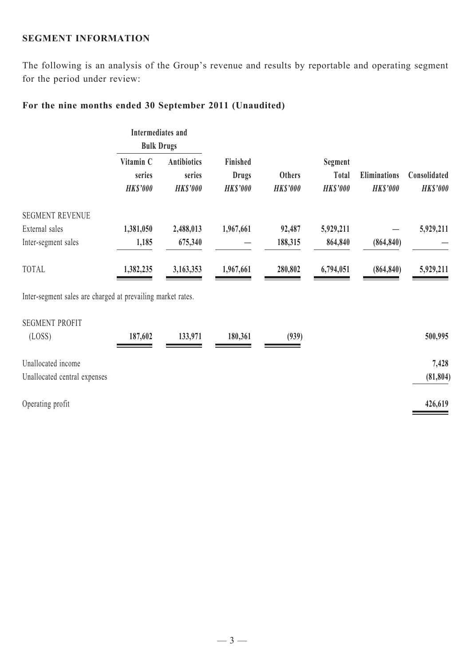#### **SEGMENT INFORMATION**

The following is an analysis of the Group's revenue and results by reportable and operating segment for the period under review:

# **For the nine months ended 30 September 2011 (Unaudited)**

|                                                             | Intermediates and<br><b>Bulk Drugs</b> |                                                 |                                            |                                  |                                            |                                        |                                 |
|-------------------------------------------------------------|----------------------------------------|-------------------------------------------------|--------------------------------------------|----------------------------------|--------------------------------------------|----------------------------------------|---------------------------------|
|                                                             | Vitamin C<br>series<br><b>HK\$'000</b> | <b>Antibiotics</b><br>series<br><b>HK\$'000</b> | Finished<br><b>Drugs</b><br><b>HKS'000</b> | <b>Others</b><br><b>HK\$'000</b> | Segment<br><b>Total</b><br><b>HK\$'000</b> | <b>Eliminations</b><br><b>HK\$'000</b> | Consolidated<br><b>HK\$'000</b> |
| <b>SEGMENT REVENUE</b>                                      |                                        |                                                 |                                            |                                  |                                            |                                        |                                 |
| External sales                                              | 1,381,050                              | 2,488,013                                       | 1,967,661                                  | 92,487                           | 5,929,211                                  |                                        | 5,929,211                       |
| Inter-segment sales                                         | 1,185                                  | 675,340                                         |                                            | 188,315                          | 864,840                                    | (864, 840)                             |                                 |
| TOTAL                                                       | 1,382,235                              | 3,163,353                                       | 1,967,661                                  | 280,802                          | 6,794,051                                  | (864, 840)                             | 5,929,211                       |
| Inter-segment sales are charged at prevailing market rates. |                                        |                                                 |                                            |                                  |                                            |                                        |                                 |
| <b>SEGMENT PROFIT</b>                                       |                                        |                                                 |                                            |                                  |                                            |                                        |                                 |
| (LOSS)                                                      | 187,602                                | 133,971                                         | 180,361                                    | (939)                            |                                            |                                        | 500,995                         |

| Unallocated income           | 7,428     |
|------------------------------|-----------|
| Unallocated central expenses | (81, 804) |
| Operating profit             | 426,619   |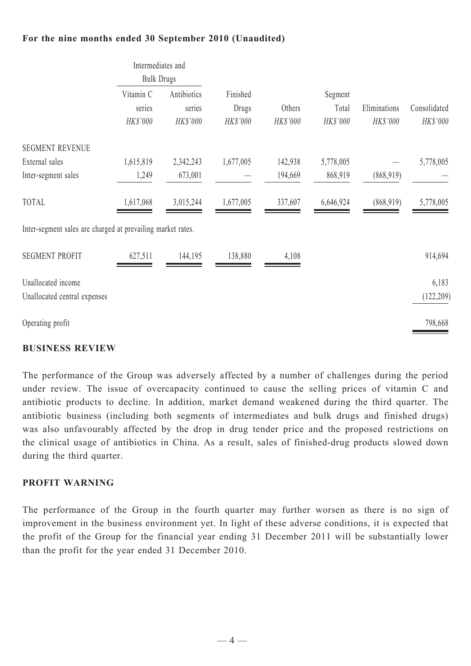# **For the nine months ended 30 September 2010 (Unaudited)**

| Intermediates and<br><b>Bulk Drugs</b> |                                   |                                                             |                    |                              |                          |                          |
|----------------------------------------|-----------------------------------|-------------------------------------------------------------|--------------------|------------------------------|--------------------------|--------------------------|
| Vitamin C<br>series<br>HK\$'000        | Antibiotics<br>series<br>HK\$'000 | Finished<br>Drugs<br>HK\$'000                               | Others<br>HK\$'000 | Segment<br>Total<br>HK\$'000 | Eliminations<br>HK\$'000 | Consolidated<br>HK\$'000 |
|                                        |                                   |                                                             |                    |                              |                          |                          |
| 1,615,819                              | 2,342,243                         | 1,677,005                                                   | 142,938            | 5,778,005                    |                          | 5,778,005                |
| 1,249                                  | 673,001                           |                                                             | 194,669            | 868,919                      | (868, 919)               |                          |
| 1,617,068                              | 3,015,244                         | 1,677,005                                                   | 337,607            | 6,646,924                    | (868, 919)               | 5,778,005                |
|                                        |                                   |                                                             |                    |                              |                          |                          |
| 627,511                                | 144,195                           | 138,880                                                     | 4,108              |                              |                          | 914,694                  |
|                                        |                                   |                                                             |                    |                              |                          | 6,183                    |
|                                        |                                   |                                                             |                    |                              |                          | (122, 209)               |
|                                        |                                   |                                                             |                    |                              |                          | 798,668                  |
|                                        |                                   | Inter-segment sales are charged at prevailing market rates. |                    |                              |                          |                          |

#### **BUSINESS REVIEW**

The performance of the Group was adversely affected by a number of challenges during the period under review. The issue of overcapacity continued to cause the selling prices of vitamin C and antibiotic products to decline. In addition, market demand weakened during the third quarter. The antibiotic business (including both segments of intermediates and bulk drugs and finished drugs) was also unfavourably affected by the drop in drug tender price and the proposed restrictions on the clinical usage of antibiotics in China. As a result, sales of finished-drug products slowed down during the third quarter.

### **PROFIT WARNING**

The performance of the Group in the fourth quarter may further worsen as there is no sign of improvement in the business environment yet. In light of these adverse conditions, it is expected that the profit of the Group for the financial year ending 31 December 2011 will be substantially lower than the profit for the year ended 31 December 2010.